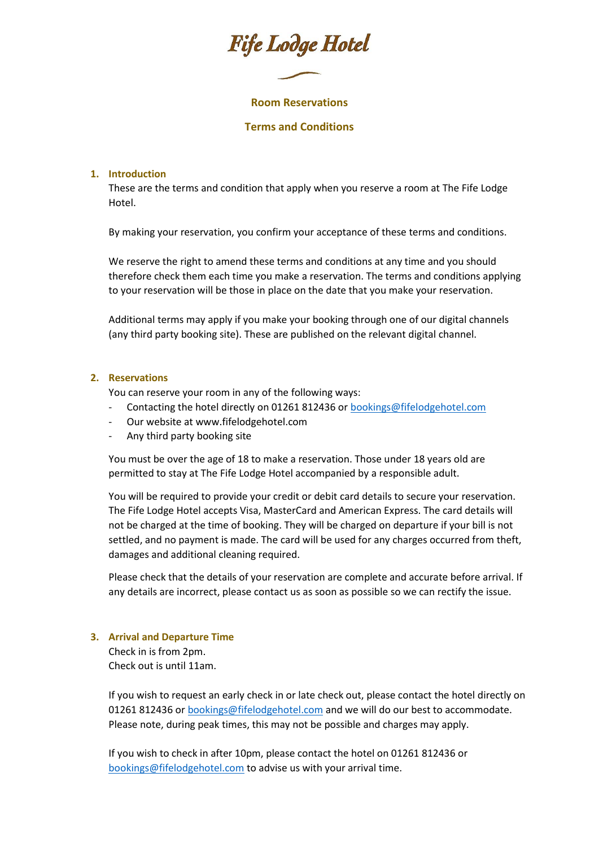# Fife Lodge Hotel

## **Room Reservations**

## **Terms and Conditions**

# **1. Introduction**

These are the terms and condition that apply when you reserve a room at The Fife Lodge Hotel.

By making your reservation, you confirm your acceptance of these terms and conditions.

We reserve the right to amend these terms and conditions at any time and you should therefore check them each time you make a reservation. The terms and conditions applying to your reservation will be those in place on the date that you make your reservation.

Additional terms may apply if you make your booking through one of our digital channels (any third party booking site). These are published on the relevant digital channel.

## **2. Reservations**

You can reserve your room in any of the following ways:

- Contacting the hotel directly on 01261 812436 or [bookings@fifelodgehotel.com](mailto:bookings@fifelodgehotel.com)
- Our website at www.fifelodgehotel.com
- Any third party booking site

You must be over the age of 18 to make a reservation. Those under 18 years old are permitted to stay at The Fife Lodge Hotel accompanied by a responsible adult.

You will be required to provide your credit or debit card details to secure your reservation. The Fife Lodge Hotel accepts Visa, MasterCard and American Express. The card details will not be charged at the time of booking. They will be charged on departure if your bill is not settled, and no payment is made. The card will be used for any charges occurred from theft, damages and additional cleaning required.

Please check that the details of your reservation are complete and accurate before arrival. If any details are incorrect, please contact us as soon as possible so we can rectify the issue.

#### **3. Arrival and Departure Time**

Check in is from 2pm. Check out is until 11am.

If you wish to request an early check in or late check out, please contact the hotel directly on 01261 812436 o[r bookings@fifelodgehotel.com](mailto:bookings@fifelodgehotel.com) and we will do our best to accommodate. Please note, during peak times, this may not be possible and charges may apply.

If you wish to check in after 10pm, please contact the hotel on 01261 812436 or [bookings@fifelodgehotel.com](mailto:bookings@fifelodgehotel.com) to advise us with your arrival time.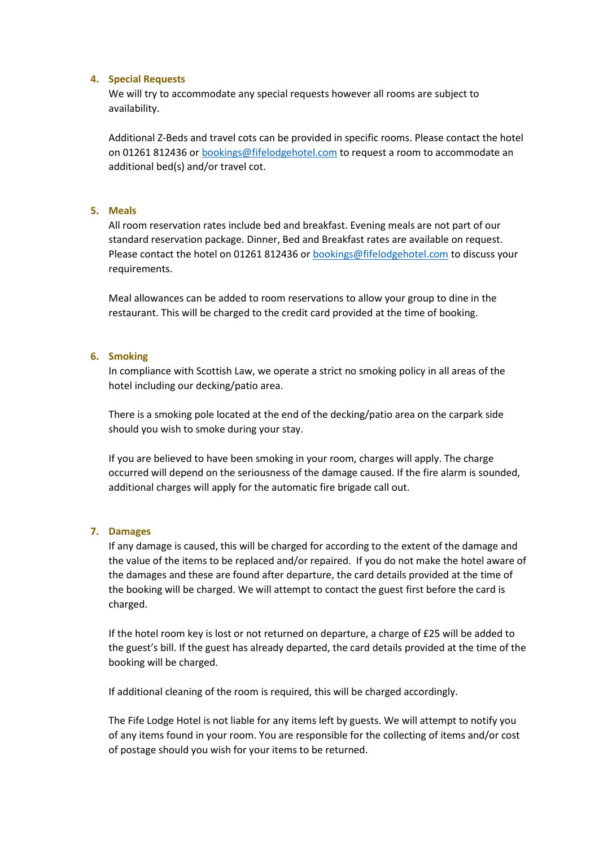#### **4. Special Requests**

We will try to accommodate any special requests however all rooms are subject to availability.

Additional Z-Beds and travel cots can be provided in specific rooms. Please contact the hotel on 01261 812436 o[r bookings@fifelodgehotel.com](mailto:bookings@fifelodgehotel.com) to request a room to accommodate an additional bed(s) and/or travel cot.

# **5. Meals**

All room reservation rates include bed and breakfast. Evening meals are not part of our standard reservation package. Dinner, Bed and Breakfast rates are available on request. Please contact the hotel on 01261 812436 or [bookings@fifelodgehotel.com](mailto:bookings@fifelodgehotel.com) to discuss your requirements.

Meal allowances can be added to room reservations to allow your group to dine in the restaurant. This will be charged to the credit card provided at the time of booking.

## **6. Smoking**

In compliance with Scottish Law, we operate a strict no smoking policy in all areas of the hotel including our decking/patio area.

There is a smoking pole located at the end of the decking/patio area on the carpark side should you wish to smoke during your stay.

If you are believed to have been smoking in your room, charges will apply. The charge occurred will depend on the seriousness of the damage caused. If the fire alarm is sounded, additional charges will apply for the automatic fire brigade call out.

# **7. Damages**

If any damage is caused, this will be charged for according to the extent of the damage and the value of the items to be replaced and/or repaired. If you do not make the hotel aware of the damages and these are found after departure, the card details provided at the time of the booking will be charged. We will attempt to contact the guest first before the card is charged.

If the hotel room key is lost or not returned on departure, a charge of £25 will be added to the guest's bill. If the guest has already departed, the card details provided at the time of the booking will be charged.

If additional cleaning of the room is required, this will be charged accordingly.

The Fife Lodge Hotel is not liable for any items left by guests. We will attempt to notify you of any items found in your room. You are responsible for the collecting of items and/or cost of postage should you wish for your items to be returned.